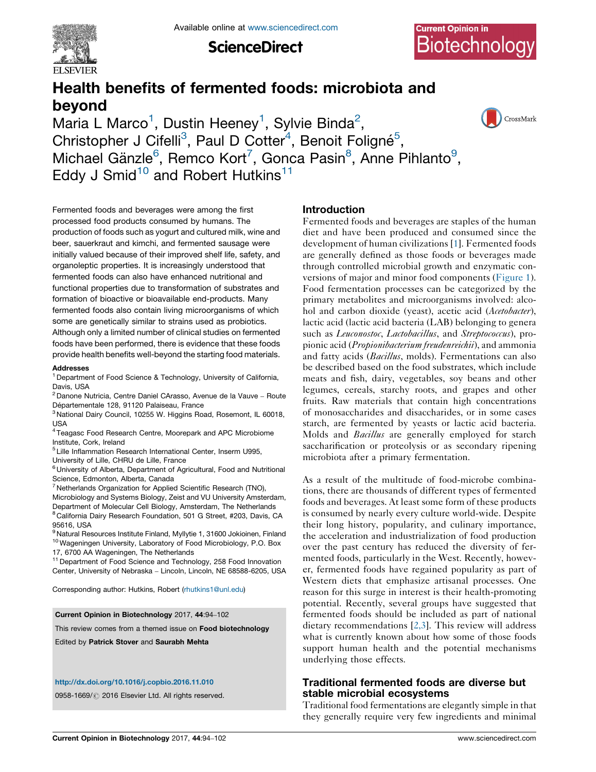

**ScienceDirect** 

# Health benefits of fermented foods: microbiota and beyond



Maria L Marco<sup>1</sup>, Dustin Heeney<sup>1</sup>, Sylvie Binda<sup>2</sup>, Christopher J Cifelli<sup>3</sup>, Paul D Cotter<sup>4</sup>, Benoit Foligné<sup>5</sup>, Michael Gänzle<sup>6</sup>, Remco Kort<sup>7</sup>, Gonca Pasin<sup>8</sup>, Anne Pihlanto<sup>9</sup>, Eddy J Smid<sup>10</sup> and Robert Hutkins<sup>11</sup>

Fermented foods and beverages were among the first processed food products consumed by humans. The production of foods such as yogurt and cultured milk, wine and beer, sauerkraut and kimchi, and fermented sausage were initially valued because of their improved shelf life, safety, and organoleptic properties. It is increasingly understood that fermented foods can also have enhanced nutritional and functional properties due to transformation of substrates and formation of bioactive or bioavailable end-products. Many fermented foods also contain living microorganisms of which some are genetically similar to strains used as probiotics. Although only a limited number of clinical studies on fermented foods have been performed, there is evidence that these foods provide health benefits well-beyond the starting food materials.

#### Addresses

<sup>1</sup> Department of Food Science & Technology, University of California, Davis, USA

 $2$  Danone Nutricia, Centre Daniel CArasso, Avenue de la Vauve – Route Départementale 128, 91120 Palaiseau, France

<sup>3</sup> National Dairy Council, 10255 W. Higgins Road, Rosemont, IL 60018, USA

<sup>4</sup> Teagasc Food Research Centre, Moorepark and APC Microbiome Institute, Cork, Ireland

<sup>5</sup> Lille Inflammation Research International Center, Inserm U995,

University of Lille, CHRU de Lille, France

 $6$  University of Alberta, Department of Agricultural, Food and Nutritional Science, Edmonton, Alberta, Canada

<sup>7</sup> Netherlands Organization for Applied Scientific Research (TNO), Microbiology and Systems Biology, Zeist and VU University Amsterdam, Department of Molecular Cell Biology, Amsterdam, The Netherlands <sup>8</sup> California Dairy Research Foundation, 501 G Street, #203, Davis, CA 95616, USA

<sup>9</sup> Natural Resources Institute Finland, Myllytie 1, 31600 Jokioinen, Finland <sup>10</sup> Wageningen University, Laboratory of Food Microbiology, P.O. Box 17, 6700 AA Wageningen, The Netherlands

<sup>11</sup> Department of Food Science and Technology, 258 Food Innovation Center, University of Nebraska – Lincoln, Lincoln, NE 68588-6205, USA

Corresponding author: Hutkins, Robert [\(rhutkins1@unl.edu](mailto:rhutkins1@unl.edu))

Current Opinion in Biotechnology 2017, 44:94–102

This review comes from a themed issue on **Food biotechnology** 

Edited by Patrick Stover and Saurabh Mehta

### <http://dx.doi.org/10.1016/j.copbio.2016.11.010>

0958-1669/ 2016 Elsevier Ltd. All rights reserved.

### Introduction

Fermented foods and beverages are staples of the human diet and have been produced and consumed since the development of human civilizations [\[1](#page-6-0)]. Fermented foods are generally defined as those foods or beverages made through controlled microbial growth and enzymatic conversions of major and minor food components ([Figure](#page-1-0) 1). Food fermentation processes can be categorized by the primary metabolites and microorganisms involved: alcohol and carbon dioxide (yeast), acetic acid (*Acetobacter*), lactic acid (lactic acid bacteria (LAB) belonging to genera such as *Leuconostoc*, *Lactobacillus*, and *Streptococcus*), propionic acid (Propionibacterium freudenreichii), and ammonia and fatty acids (Bacillus, molds). Fermentations can also be described based on the food substrates, which include meats and fish, dairy, vegetables, soy beans and other legumes, cereals, starchy roots, and grapes and other fruits. Raw materials that contain high concentrations of monosaccharides and disaccharides, or in some cases starch, are fermented by yeasts or lactic acid bacteria. Molds and *Bacillus* are generally employed for starch saccharification or proteolysis or as secondary ripening microbiota after a primary fermentation.

As a result of the multitude of food-microbe combinations, there are thousands of different types of fermented foods and beverages. At least some form of these products is consumed by nearly every culture world-wide. Despite their long history, popularity, and culinary importance, the acceleration and industrialization of food production over the past century has reduced the diversity of fermented foods, particularly in the West. Recently, however, fermented foods have regained popularity as part of Western diets that emphasize artisanal processes. One reason for this surge in interest is their health-promoting potential. Recently, several groups have suggested that fermented foods should be included as part of national dietary recommendations [\[2,3\]](#page-6-0). This review will address what is currently known about how some of those foods support human health and the potential mechanisms underlying those effects.

# Traditional fermented foods are diverse but stable microbial ecosystems

Traditional food fermentations are elegantly simple in that they generally require very few ingredients and minimal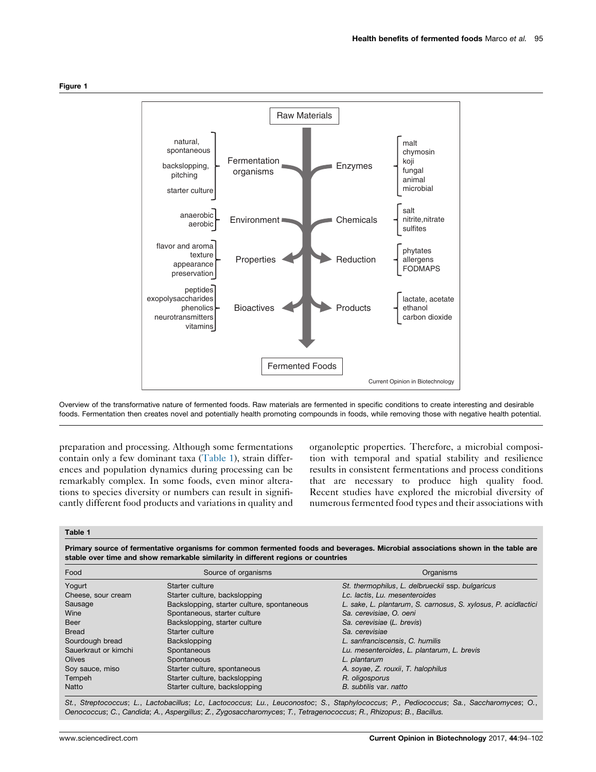

Overview of the transformative nature of fermented foods. Raw materials are fermented in specific conditions to create interesting and desirable foods. Fermentation then creates novel and potentially health promoting compounds in foods, while removing those with negative health potential.

preparation and processing. Although some fermentations contain only a few dominant taxa (Table 1), strain differences and population dynamics during processing can be remarkably complex. In some foods, even minor alterations to species diversity or numbers can result in significantly different food products and variations in quality and organoleptic properties. Therefore, a microbial composition with temporal and spatial stability and resilience results in consistent fermentations and process conditions that are necessary to produce high quality food. Recent studies have explored the microbial diversity of numerous fermented food types and their associations with

Table 1

Primary source of fermentative organisms for common fermented foods and beverages. Microbial associations shown in the table are stable over time and show remarkable similarity in different regions or countries

| Food                 | Source of organisms                        | Organisms                                                      |
|----------------------|--------------------------------------------|----------------------------------------------------------------|
| Yogurt               | Starter culture                            | St. thermophilus, L. delbrueckii ssp. bulgaricus               |
| Cheese, sour cream   | Starter culture, backslopping              | Lc. lactis, Lu. mesenteroides                                  |
| Sausage              | Backslopping, starter culture, spontaneous | L. sake, L. plantarum, S. carnosus, S. xylosus, P. acidlactici |
| Wine                 | Spontaneous, starter culture               | Sa. cerevisiae, O. oeni                                        |
| <b>Beer</b>          | Backslopping, starter culture              | Sa. cerevisiae (L. brevis)                                     |
| <b>Bread</b>         | Starter culture                            | Sa. cerevisiae                                                 |
| Sourdough bread      | Backslopping                               | L. sanfranciscensis, C. humilis                                |
| Sauerkraut or kimchi | Spontaneous                                | Lu. mesenteroides, L. plantarum, L. brevis                     |
| <b>Olives</b>        | Spontaneous                                | L. plantarum                                                   |
| Soy sauce, miso      | Starter culture, spontaneous               | A. soyae, Z. rouxii, T. halophilus                             |
| Tempeh               | Starter culture, backslopping              | R. oligosporus                                                 |
| Natto                | Starter culture, backslopping              | B. subtilis var. natto                                         |

St., Streptococcus; L., Lactobacillus; Lc, Lactococcus; Lu., Leuconostoc; S., Staphylococcus; P., Pediococcus; Sa., Saccharomyces; O., Oenococcus; C., Candida; A., Aspergillus; Z., Zygosaccharomyces; T., Tetragenococcus; R., Rhizopus; B., Bacillus.

<span id="page-1-0"></span>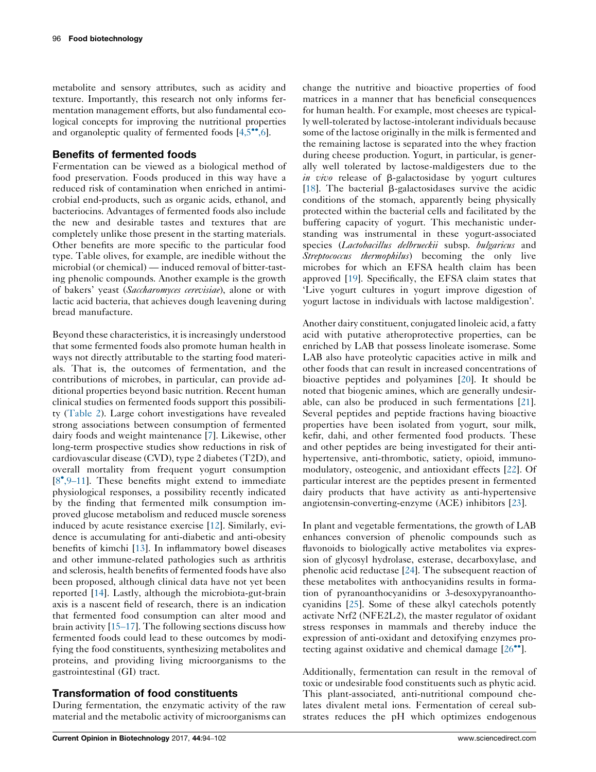metabolite and sensory attributes, such as acidity and texture. Importantly, this research not only informs fermentation management efforts, but also fundamental ecological concepts for improving the nutritional properties and organoleptic quality of fermented foods  $[4,5^{\bullet\bullet},6]$  $[4,5^{\bullet\bullet},6]$  $[4,5^{\bullet\bullet},6]$  $[4,5^{\bullet\bullet},6]$ .

### Benefits of fermented foods

Fermentation can be viewed as a biological method of food preservation. Foods produced in this way have a reduced risk of contamination when enriched in antimicrobial end-products, such as organic acids, ethanol, and bacteriocins. Advantages of fermented foods also include the new and desirable tastes and textures that are completely unlike those present in the starting materials. Other benefits are more specific to the particular food type. Table olives, for example, are inedible without the microbial (or chemical) — induced removal of bitter-tasting phenolic compounds. Another example is the growth of bakers' yeast (Saccharomyces cerevisiae), alone or with lactic acid bacteria, that achieves dough leavening during bread manufacture.

Beyond these characteristics, it is increasingly understood that some fermented foods also promote human health in ways not directly attributable to the starting food materials. That is, the outcomes of fermentation, and the contributions of microbes, in particular, can provide additional properties beyond basic nutrition. Recent human clinical studies on fermented foods support this possibility [\(Table](#page-3-0) 2). Large cohort investigations have revealed strong associations between consumption of fermented dairy foods and weight maintenance [[7\]](#page-6-0). Likewise, other long-term prospective studies show reductions in risk of cardiovascular disease (CVD), type 2 diabetes (T2D), and overall mortality from frequent yogurt consumption [\[8](#page-6-0)- ,9–[11](#page-6-0)]. These benefits might extend to immediate physiological responses, a possibility recently indicated by the finding that fermented milk consumption improved glucose metabolism and reduced muscle soreness induced by acute resistance exercise [[12\]](#page-6-0). Similarly, evidence is accumulating for anti-diabetic and anti-obesity benefits of kimchi [\[13](#page-6-0)]. In inflammatory bowel diseases and other immune-related pathologies such as arthritis and sclerosis, health benefits of fermented foods have also been proposed, although clinical data have not yet been reported [[14\]](#page-6-0). Lastly, although the microbiota-gut-brain axis is a nascent field of research, there is an indication that fermented food consumption can alter mood and brain activity [\[15](#page-6-0)–17]. The following sections discuss how fermented foods could lead to these outcomes by modifying the food constituents, synthesizing metabolites and proteins, and providing living microorganisms to the gastrointestinal (GI) tract.

# Transformation of food constituents

During fermentation, the enzymatic activity of the raw material and the metabolic activity of microorganisms can change the nutritive and bioactive properties of food matrices in a manner that has beneficial consequences for human health. For example, most cheeses are typically well-tolerated by lactose-intolerant individuals because some of the lactose originally in the milk is fermented and the remaining lactose is separated into the whey fraction during cheese production. Yogurt, in particular, is generally well tolerated by lactose-maldigesters due to the in vivo release of B-galactosidase by yogurt cultures [\[18](#page-6-0)]. The bacterial  $\beta$ -galactosidases survive the acidic conditions of the stomach, apparently being physically protected within the bacterial cells and facilitated by the buffering capacity of yogurt. This mechanistic understanding was instrumental in these yogurt-associated species (Lactobacillus delbrueckii subsp. bulgaricus and Streptococcus thermophilus) becoming the only live microbes for which an EFSA health claim has been approved [[19\]](#page-6-0). Specifically, the EFSA claim states that 'Live yogurt cultures in yogurt improve digestion of yogurt lactose in individuals with lactose maldigestion'.

Another dairy constituent, conjugated linoleic acid, a fatty acid with putative atheroprotective properties, can be enriched by LAB that possess linoleate isomerase. Some LAB also have proteolytic capacities active in milk and other foods that can result in increased concentrations of bioactive peptides and polyamines [[20\]](#page-6-0). It should be noted that biogenic amines, which are generally undesirable, can also be produced in such fermentations [[21](#page-6-0)]. Several peptides and peptide fractions having bioactive properties have been isolated from yogurt, sour milk, kefir, dahi, and other fermented food products. These and other peptides are being investigated for their antihypertensive, anti-thrombotic, satiety, opioid, immunomodulatory, osteogenic, and antioxidant effects [\[22\]](#page-6-0). Of particular interest are the peptides present in fermented dairy products that have activity as anti-hypertensive angiotensin-converting-enzyme (ACE) inhibitors [\[23](#page-6-0)].

In plant and vegetable fermentations, the growth of LAB enhances conversion of phenolic compounds such as flavonoids to biologically active metabolites via expression of glycosyl hydrolase, esterase, decarboxylase, and phenolic acid reductase [\[24](#page-6-0)]. The subsequent reaction of these metabolites with anthocyanidins results in formation of pyranoanthocyanidins or 3-desoxypyranoanthocyanidins [[25\]](#page-6-0). Some of these alkyl catechols potently activate Nrf2 (NFE2L2), the master regulator of oxidant stress responses in mammals and thereby induce the expression of anti-oxidant and detoxifying enzymes pro-tecting against oxidative and chemical damage [\[26](#page-6-0)<sup>••</sup>].

Additionally, fermentation can result in the removal of toxic or undesirable food constituents such as phytic acid. This plant-associated, anti-nutritional compound chelates divalent metal ions. Fermentation of cereal substrates reduces the pH which optimizes endogenous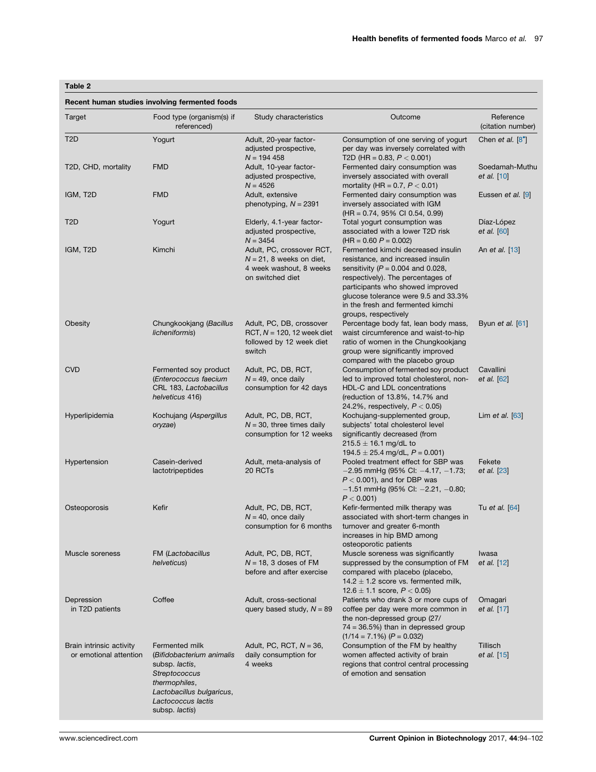# <span id="page-3-0"></span>Table 2

| Recent human studies involving fermented foods     |                                                                                                                                                                      |                                                                                                         |                                                                                                                                                                                                                                                                                               |                                |
|----------------------------------------------------|----------------------------------------------------------------------------------------------------------------------------------------------------------------------|---------------------------------------------------------------------------------------------------------|-----------------------------------------------------------------------------------------------------------------------------------------------------------------------------------------------------------------------------------------------------------------------------------------------|--------------------------------|
| Target                                             | Food type (organism(s) if<br>referenced)                                                                                                                             | Study characteristics                                                                                   | Outcome                                                                                                                                                                                                                                                                                       | Reference<br>(citation number) |
| T <sub>2</sub> D                                   | Yogurt                                                                                                                                                               | Adult, 20-year factor-<br>adjusted prospective,<br>$N = 194458$                                         | Consumption of one serving of yogurt<br>per day was inversely correlated with<br>T2D (HR = 0.83, $P < 0.001$ )                                                                                                                                                                                | Chen et al. $[8^{\circ}]$      |
| T2D, CHD, mortality                                | <b>FMD</b>                                                                                                                                                           | Adult, 10-year factor-<br>adjusted prospective,<br>$N = 4526$                                           | Fermented dairy consumption was<br>inversely associated with overall<br>mortality (HR = 0.7, $P < 0.01$ )                                                                                                                                                                                     | Soedamah-Muthu<br>et al. [10]  |
| IGM, T2D                                           | <b>FMD</b>                                                                                                                                                           | Adult, extensive<br>phenotyping, $N = 2391$                                                             | Fermented dairy consumption was<br>inversely associated with IGM<br>$(HR = 0.74, 95\% \text{ CI } 0.54, 0.99)$                                                                                                                                                                                | Eussen et al. [9]              |
| T <sub>2</sub> D                                   | Yogurt                                                                                                                                                               | Elderly, 4.1-year factor-<br>adjusted prospective,<br>$N = 3454$                                        | Total yogurt consumption was<br>associated with a lower T2D risk<br>$(HR = 0.60 P = 0.002)$                                                                                                                                                                                                   | Díaz-López<br>et al. [60]      |
| IGM, T2D                                           | Kimchi                                                                                                                                                               | Adult, PC, crossover RCT,<br>$N = 21$ , 8 weeks on diet,<br>4 week washout, 8 weeks<br>on switched diet | Fermented kimchi decreased insulin<br>resistance, and increased insulin<br>sensitivity ( $P = 0.004$ and 0.028,<br>respectively). The percentages of<br>participants who showed improved<br>glucose tolerance were 9.5 and 33.3%<br>in the fresh and fermented kimchi<br>groups, respectively | An <i>et al.</i> [13]          |
| Obesity                                            | Chungkookjang (Bacillus<br>licheniformis)                                                                                                                            | Adult, PC, DB, crossover<br>RCT, $N = 120$ , 12 week diet<br>followed by 12 week diet<br>switch         | Percentage body fat, lean body mass,<br>waist circumference and waist-to-hip<br>ratio of women in the Chungkookjang<br>group were significantly improved<br>compared with the placebo group                                                                                                   | Byun <i>et al.</i> [61]        |
| <b>CVD</b>                                         | Fermented soy product<br>(Enterococcus faecium<br>CRL 183, Lactobacillus<br>helveticus 416)                                                                          | Adult, PC, DB, RCT,<br>$N = 49$ , once daily<br>consumption for 42 days                                 | Consumption of fermented soy product<br>led to improved total cholesterol, non-<br>HDL-C and LDL concentrations<br>(reduction of 13.8%, 14.7% and<br>24.2%, respectively, $P < 0.05$ )                                                                                                        | Cavallini<br>et al. [62]       |
| Hyperlipidemia                                     | Kochujang (Aspergillus<br>oryzae)                                                                                                                                    | Adult, PC, DB, RCT,<br>$N = 30$ , three times daily<br>consumption for 12 weeks                         | Kochujang-supplemented group,<br>subjects' total cholesterol level<br>significantly decreased (from<br>215.5 $\pm$ 16.1 mg/dL to<br>194.5 $\pm$ 25.4 mg/dL, $P = 0.001$ )                                                                                                                     | Lim et al. $[63]$              |
| Hypertension                                       | Casein-derived<br>lactotripeptides                                                                                                                                   | Adult, meta-analysis of<br>20 RCTs                                                                      | Pooled treatment effect for SBP was<br>$-2.95$ mmHg (95% CI: $-4.17$ , $-1.73$ ;<br>$P < 0.001$ , and for DBP was<br>$-1.51$ mmHg (95% CI: $-2.21$ , $-0.80$ ;<br>$P < 0.001$ )                                                                                                               | Fekete<br>et al. [23]          |
| Osteoporosis                                       | Kefir                                                                                                                                                                | Adult, PC, DB, RCT,<br>$N = 40$ , once daily<br>consumption for 6 months                                | Kefir-fermented milk therapy was<br>associated with short-term changes in<br>turnover and greater 6-month<br>increases in hip BMD among<br>osteoporotic patients                                                                                                                              | Tu et al. [64]                 |
| Muscle soreness                                    | FM (Lactobacillus<br>helveticus)                                                                                                                                     | Adult, PC, DB, RCT,<br>$N = 18$ , 3 doses of FM<br>before and after exercise                            | Muscle soreness was significantly<br>suppressed by the consumption of FM<br>compared with placebo (placebo,<br>14.2 $\pm$ 1.2 score vs. fermented milk,<br>12.6 $\pm$ 1.1 score, $P < 0.05$ )                                                                                                 | Iwasa<br>et al. [12]           |
| Depression<br>in T2D patients                      | Coffee                                                                                                                                                               | Adult, cross-sectional<br>query based study, $N = 89$                                                   | Patients who drank 3 or more cups of<br>coffee per day were more common in<br>the non-depressed group (27/<br>$74 = 36.5\%$ ) than in depressed group<br>$(1/14 = 7.1\%) (P = 0.032)$                                                                                                         | Omagari<br>et al. [17]         |
| Brain intrinsic activity<br>or emotional attention | Fermented milk<br>(Bifidobacterium animalis<br>subsp. lactis,<br>Streptococcus<br>thermophiles,<br>Lactobacillus bulgaricus,<br>Lactococcus lactis<br>subsp. lactis) | Adult, PC, RCT, $N = 36$ ,<br>daily consumption for<br>4 weeks                                          | Consumption of the FM by healthy<br>women affected activity of brain<br>regions that control central processing<br>of emotion and sensation                                                                                                                                                   | Tillisch<br>et al. [15]        |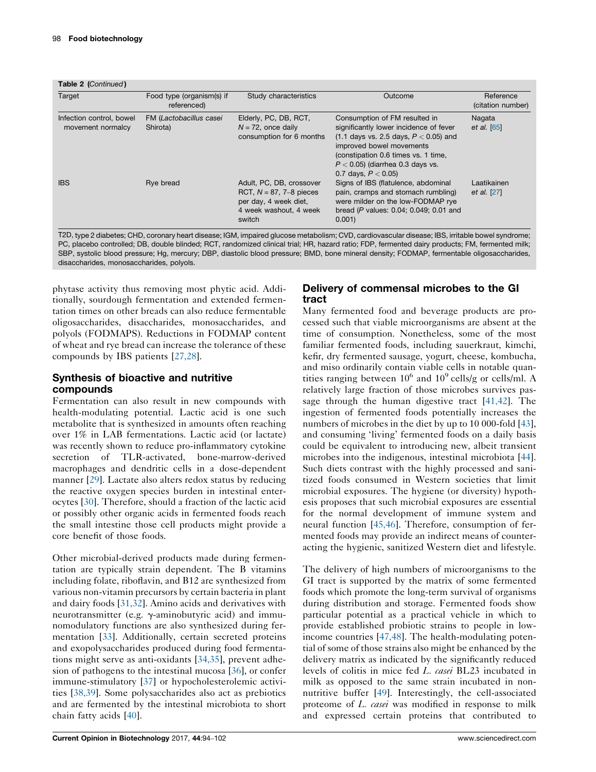Table 2 (Continued)

| Target                                        | Food type (organism(s) if<br>referenced) | Study characteristics                                                                                               | Outcome                                                                                                                                                                                                                                                 | Reference<br>(citation number) |
|-----------------------------------------------|------------------------------------------|---------------------------------------------------------------------------------------------------------------------|---------------------------------------------------------------------------------------------------------------------------------------------------------------------------------------------------------------------------------------------------------|--------------------------------|
| Infection control, bowel<br>movement normalcy | FM (Lactobacillus casei<br>Shirota)      | Elderly, PC, DB, RCT,<br>$N = 72$ , once daily<br>consumption for 6 months                                          | Consumption of FM resulted in<br>significantly lower incidence of fever<br>(1.1 days vs. 2.5 days, $P < 0.05$ ) and<br>improved bowel movements<br>(constipation 0.6 times vs. 1 time,<br>$P < 0.05$ ) (diarrhea 0.3 days vs.<br>0.7 days, $P < 0.05$ ) | Nagata<br>et al. [65]          |
| <b>IBS</b>                                    | Rye bread                                | Adult, PC, DB, crossover<br>RCT, $N = 87$ , 7-8 pieces<br>per day, 4 week diet,<br>4 week washout, 4 week<br>switch | Signs of IBS (flatulence, abdominal<br>pain, cramps and stomach rumbling)<br>were milder on the low-FODMAP rye<br>bread (P values: 0.04; 0.049; 0.01 and<br>0.001                                                                                       | Laatikainen<br>et al. [27]     |

T2D, type 2 diabetes; CHD, coronary heart disease; IGM, impaired glucose metabolism; CVD, cardiovascular disease; IBS, irritable bowel syndrome; PC, placebo controlled; DB, double blinded; RCT, randomized clinical trial; HR, hazard ratio; FDP, fermented dairy products; FM, fermented milk; SBP, systolic blood pressure; Hg, mercury; DBP, diastolic blood pressure; BMD, bone mineral density; FODMAP, fermentable oligosaccharides, disaccharides, monosaccharides, polyols.

phytase activity thus removing most phytic acid. Additionally, sourdough fermentation and extended fermentation times on other breads can also reduce fermentable oligosaccharides, disaccharides, monosaccharides, and polyols (FODMAPS). Reductions in FODMAP content of wheat and rye bread can increase the tolerance of these compounds by IBS patients [\[27,28\]](#page-6-0).

# Synthesis of bioactive and nutritive compounds

Fermentation can also result in new compounds with health-modulating potential. Lactic acid is one such metabolite that is synthesized in amounts often reaching over 1% in LAB fermentations. Lactic acid (or lactate) was recently shown to reduce pro-inflammatory cytokine secretion of TLR-activated, bone-marrow-derived macrophages and dendritic cells in a dose-dependent manner [\[29](#page-6-0)]. Lactate also alters redox status by reducing the reactive oxygen species burden in intestinal enterocytes [\[30](#page-6-0)]. Therefore, should a fraction of the lactic acid or possibly other organic acids in fermented foods reach the small intestine those cell products might provide a core benefit of those foods.

Other microbial-derived products made during fermentation are typically strain dependent. The B vitamins including folate, riboflavin, and B12 are synthesized from various non-vitamin precursors by certain bacteria in plant and dairy foods [[31,32](#page-7-0)]. Amino acids and derivatives with neurotransmitter (e.g.  $\gamma$ -aminobutyric acid) and immunomodulatory functions are also synthesized during fermentation [\[33](#page-7-0)]. Additionally, certain secreted proteins and exopolysaccharides produced during food fermentations might serve as anti-oxidants [\[34,35\]](#page-7-0), prevent adhesion of pathogens to the intestinal mucosa [[36\]](#page-7-0), or confer immune-stimulatory [\[37](#page-7-0)] or hypocholesterolemic activities [[38,39](#page-7-0)]. Some polysaccharides also act as prebiotics and are fermented by the intestinal microbiota to short chain fatty acids [\[40](#page-7-0)].

# Delivery of commensal microbes to the GI tract

Many fermented food and beverage products are processed such that viable microorganisms are absent at the time of consumption. Nonetheless, some of the most familiar fermented foods, including sauerkraut, kimchi, kefir, dry fermented sausage, yogurt, cheese, kombucha, and miso ordinarily contain viable cells in notable quantities ranging between  $10^6$  and  $10^9$  cells/g or cells/ml. A relatively large fraction of those microbes survives passage through the human digestive tract [\[41,42\]](#page-7-0). The ingestion of fermented foods potentially increases the numbers of microbes in the diet by up to 10 000-fold [[43](#page-7-0)], and consuming 'living' fermented foods on a daily basis could be equivalent to introducing new, albeit transient microbes into the indigenous, intestinal microbiota [[44](#page-7-0)]. Such diets contrast with the highly processed and sanitized foods consumed in Western societies that limit microbial exposures. The hygiene (or diversity) hypothesis proposes that such microbial exposures are essential for the normal development of immune system and neural function [\[45,46\]](#page-7-0). Therefore, consumption of fermented foods may provide an indirect means of counteracting the hygienic, sanitized Western diet and lifestyle.

The delivery of high numbers of microorganisms to the GI tract is supported by the matrix of some fermented foods which promote the long-term survival of organisms during distribution and storage. Fermented foods show particular potential as a practical vehicle in which to provide established probiotic strains to people in lowincome countries [\[47,48\]](#page-7-0). The health-modulating potential of some of those strains also might be enhanced by the delivery matrix as indicated by the significantly reduced levels of colitis in mice fed L. casei BL23 incubated in milk as opposed to the same strain incubated in nonnutritive buffer [[49\]](#page-7-0). Interestingly, the cell-associated proteome of L. casei was modified in response to milk and expressed certain proteins that contributed to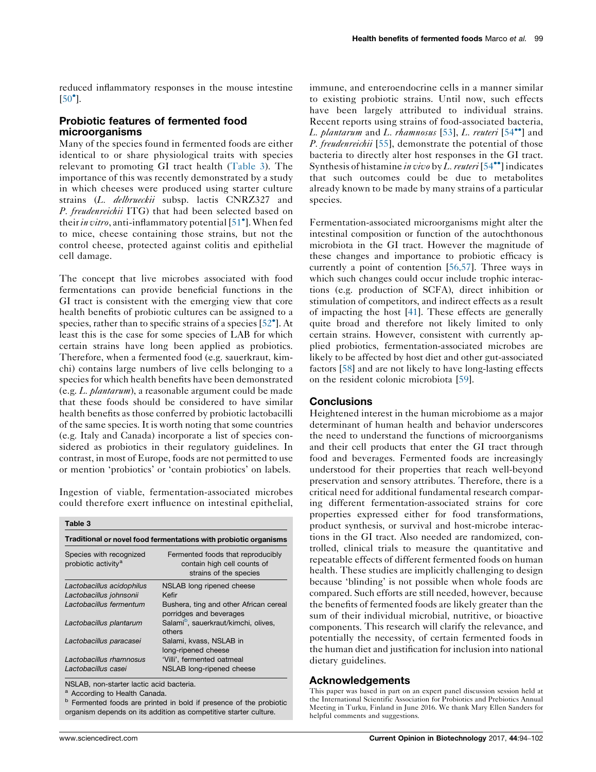reduced inflammatory responses in the mouse intestine  $[50^{\circ}].$  $[50^{\circ}].$ 

### Probiotic features of fermented food microorganisms

Many of the species found in fermented foods are either identical to or share physiological traits with species relevant to promoting GI tract health (Table 3). The importance of this was recently demonstrated by a study in which cheeses were produced using starter culture strains (L. *delbrueckii* subsp. lactis CNRZ327 and P. freudenreichii ITG) that had been selected based on their *in vitro*, anti-inflammatory potential [\[51](#page-7-0)<sup>°</sup>]. When fed to mice, cheese containing those strains, but not the control cheese, protected against colitis and epithelial cell damage.

The concept that live microbes associated with food fermentations can provide beneficial functions in the GI tract is consistent with the emerging view that core health benefits of probiotic cultures can be assigned to a species, rather than to specific strains of a species  $[52^{\circ}]$  $[52^{\circ}]$  $[52^{\circ}]$ . At least this is the case for some species of LAB for which certain strains have long been applied as probiotics. Therefore, when a fermented food (e.g. sauerkraut, kimchi) contains large numbers of live cells belonging to a species for which health benefits have been demonstrated (e.g. L. plantarum), a reasonable argument could be made that these foods should be considered to have similar health benefits as those conferred by probiotic lactobacilli of the same species. It is worth noting that some countries (e.g. Italy and Canada) incorporate a list of species considered as probiotics in their regulatory guidelines. In contrast, in most of Europe, foods are not permitted to use or mention 'probiotics' or 'contain probiotics' on labels.

Ingestion of viable, fermentation-associated microbes could therefore exert influence on intestinal epithelial,

| Table 3                                                          |                                                                                            |  |  |  |
|------------------------------------------------------------------|--------------------------------------------------------------------------------------------|--|--|--|
| Traditional or novel food fermentations with probiotic organisms |                                                                                            |  |  |  |
| Species with recognized<br>probiotic activity <sup>a</sup>       | Fermented foods that reproducibly<br>contain high cell counts of<br>strains of the species |  |  |  |
| Lactobacillus acidophilus                                        | NSLAB long ripened cheese                                                                  |  |  |  |
| Lactobacillus johnsonii                                          | Kefir                                                                                      |  |  |  |
| Lactobacillus fermentum                                          | Bushera, ting and other African cereal<br>porridges and beverages                          |  |  |  |
| Lactobacillus plantarum                                          | Salami <sup>b</sup> , sauerkraut/kimchi, olives,<br>others                                 |  |  |  |
| Lactobacillus paracasei                                          | Salami, kvass, NSLAB in                                                                    |  |  |  |
|                                                                  | long-ripened cheese                                                                        |  |  |  |
| Lactobacillus rhamnosus                                          | 'Villi', fermented oatmeal                                                                 |  |  |  |
| Lactobacillus casei                                              | NSLAB long-ripened cheese                                                                  |  |  |  |

NSLAB, non-starter lactic acid bacteria.

According to Health Canada.

<sup>b</sup> Fermented foods are printed in bold if presence of the probiotic organism depends on its addition as competitive starter culture.

immune, and enteroendocrine cells in a manner similar to existing probiotic strains. Until now, such effects have been largely attributed to individual strains. Recent reports using strains of food-associated bacteria, L. plantarum and L. rhamnosus [\[53\]](#page-7-0), L. reuteri [[54](#page-7-0)<sup>••</sup>] and P. freudenreichii [\[55\]](#page-7-0), demonstrate the potential of those bacteria to directly alter host responses in the GI tract. Synthesis of histamine in vivo by L. reuteri [\[54](#page-7-0)<sup> $\bullet$ °</sup>] indicates that such outcomes could be due to metabolites already known to be made by many strains of a particular species.

Fermentation-associated microorganisms might alter the intestinal composition or function of the autochthonous microbiota in the GI tract. However the magnitude of these changes and importance to probiotic efficacy is currently a point of contention [[56,57](#page-7-0)]. Three ways in which such changes could occur include trophic interactions (e.g. production of SCFA), direct inhibition or stimulation of competitors, and indirect effects as a result of impacting the host [[41\]](#page-7-0). These effects are generally quite broad and therefore not likely limited to only certain strains. However, consistent with currently applied probiotics, fermentation-associated microbes are likely to be affected by host diet and other gut-associated factors [[58\]](#page-8-0) and are not likely to have long-lasting effects on the resident colonic microbiota [[59\]](#page-8-0).

### **Conclusions**

Heightened interest in the human microbiome as a major determinant of human health and behavior underscores the need to understand the functions of microorganisms and their cell products that enter the GI tract through food and beverages. Fermented foods are increasingly understood for their properties that reach well-beyond preservation and sensory attributes. Therefore, there is a critical need for additional fundamental research comparing different fermentation-associated strains for core properties expressed either for food transformations, product synthesis, or survival and host-microbe interactions in the GI tract. Also needed are randomized, controlled, clinical trials to measure the quantitative and repeatable effects of different fermented foods on human health. These studies are implicitly challenging to design because 'blinding' is not possible when whole foods are compared. Such efforts are still needed, however, because the benefits of fermented foods are likely greater than the sum of their individual microbial, nutritive, or bioactive components. This research will clarify the relevance, and potentially the necessity, of certain fermented foods in the human diet and justification for inclusion into national dietary guidelines.

### Acknowledgements

This paper was based in part on an expert panel discussion session held at the International Scientific Association for Probiotics and Prebiotics Annual Meeting in Turku, Finland in June 2016. We thank Mary Ellen Sanders for helpful comments and suggestions.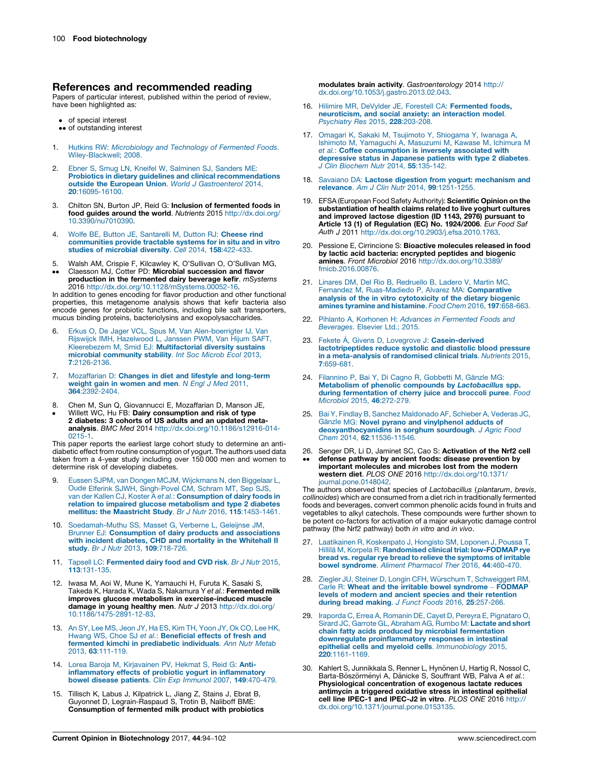### <span id="page-6-0"></span>References and recommended reading

Papers of particular interest, published within the period of review, have been highlighted as:

- of special interest
- •• of outstanding interest
- 1. Hutkins RW: [Microbiology](http://refhub.elsevier.com/S0958-1669(16)30266-X/sbref0330) and Technology of Fermented Foods. [Wiley-Blackwell;](http://refhub.elsevier.com/S0958-1669(16)30266-X/sbref0330) 2008.
- 2. Ebner S, Smug LN, Kneifel W, [Salminen](http://refhub.elsevier.com/S0958-1669(16)30266-X/sbref0335) SJ, Sanders ME: Probiotics in dietary guidelines and clinical [recommendations](http://refhub.elsevier.com/S0958-1669(16)30266-X/sbref0335) outside the European Union. World J [Gastroenterol](http://refhub.elsevier.com/S0958-1669(16)30266-X/sbref0335) 2014, 20[:16095-16100.](http://refhub.elsevier.com/S0958-1669(16)30266-X/sbref0335)
- 3. Chilton SN, Burton JP, Reid G: Inclusion of fermented foods in food guides around the world. Nutrients 2015 [http://dx.doi.org/](http://dx.doi.org/10.3390/nu7010390) [10.3390/nu7010390.](http://dx.doi.org/10.3390/nu7010390)
- 4. Wolfe BE, Button JE, [Santarelli](http://refhub.elsevier.com/S0958-1669(16)30266-X/sbref0345) M, Dutton RJ: Cheese rind [communities](http://refhub.elsevier.com/S0958-1669(16)30266-X/sbref0345) provide tractable systems for in situ and in vitro studies of [microbial](http://refhub.elsevier.com/S0958-1669(16)30266-X/sbref0345) diversity. Cell 2014, 158:422-433.
- 5. Walsh AM, Crispie F, Kilcawley K, O'Sullivan O, O'Sullivan MG,
- $\bullet$  $\bullet$ Claesson MJ, Cotter PD: Microbial succession and flavor production in the fermented dairy beverage kefir. mSystems 2016 [http://dx.doi.org/10.1128/mSystems.00052-16.](http://dx.doi.org/10.1128/mSystems.00052-16)

In addition to genes encoding for flavor production and other functional properties, this metagenome analysis shows that kefir bacteria also encode genes for probiotic functions, including bile salt transporters, mucus binding proteins, bacteriolysins and exopolysaccharides.

- 6. Erkus O, De Jager VCL, Spus M, Van [Alen-boerrigter](http://refhub.elsevier.com/S0958-1669(16)30266-X/sbref0355) IJ, Van Rijswijck IMH, [Hazelwood](http://refhub.elsevier.com/S0958-1669(16)30266-X/sbref0355) L, Janssen PWM, Van Hijum SAFT,<br>Kleerebezem M, Smid EJ: **[Multifactorial](http://refhub.elsevier.com/S0958-1669(16)30266-X/sbref0355) diversity sustains** microbial [community](http://refhub.elsevier.com/S0958-1669(16)30266-X/sbref0355) stability. Int Soc Microb Ecol 2013, 7[:2126-2136.](http://refhub.elsevier.com/S0958-1669(16)30266-X/sbref0355)
- 7. [Mozaffarian](http://refhub.elsevier.com/S0958-1669(16)30266-X/sbref0360) D: Changes in diet and lifestyle and long-term weight gain in [women](http://refhub.elsevier.com/S0958-1669(16)30266-X/sbref0360) and men. N Engl J Med 2011, 364[:2392-2404.](http://refhub.elsevier.com/S0958-1669(16)30266-X/sbref0360)
- 8. Chen M, Sun Q, Giovannucci E, Mozaffarian D, Manson JE,
- $\bullet$ Willett WC, Hu FB: Dairy consumption and risk of type 2 diabetes: 3 cohorts of US adults and an updated metaanalysis. BMC Med 2014 [http://dx.doi.org/10.1186/s12916-014-](http://dx.doi.org/10.1186/s12916-014-0215-1) [0215-1.](http://dx.doi.org/10.1186/s12916-014-0215-1)

This paper reports the earliest large cohort study to determine an antidiabetic effect from routine consumption of yogurt. The authors used data taken from a 4-year study including over 150 000 men and women to determine risk of developing diabetes.

- 9. Eussen SJPM, van Dongen MCJM, [Wijckmans](http://refhub.elsevier.com/S0958-1669(16)30266-X/sbref0370) N, den Biggelaar L, Oude Elferink SJWH, [Singh-Povel](http://refhub.elsevier.com/S0958-1669(16)30266-X/sbref0370) CM, Schram MT, Sep SJS, van der Kallen CJ, Koster A et al.: [Consumption](http://refhub.elsevier.com/S0958-1669(16)30266-X/sbref0370) of dairy foods in relation to impaired glucose [metabolism](http://refhub.elsevier.com/S0958-1669(16)30266-X/sbref0370) and type 2 diabetes mellitus: the Maastricht Study. Br J Nutr 2016, 115[:1453-1461.](http://refhub.elsevier.com/S0958-1669(16)30266-X/sbref0370)
- 10. [Soedamah-Muthu](http://refhub.elsevier.com/S0958-1669(16)30266-X/sbref0375) SS, Masset G, Verberne L, Geleijnse JM, Brunner EJ: [Consumption](http://refhub.elsevier.com/S0958-1669(16)30266-X/sbref0375) of dairy products and associations with incident diabetes, CHD and mortality in the [Whitehall](http://refhub.elsevier.com/S0958-1669(16)30266-X/sbref0375) II study. Br J Nutr 2013, 109[:718-726.](http://refhub.elsevier.com/S0958-1669(16)30266-X/sbref0375)
- 11. Tapsell LC: [Fermented](http://refhub.elsevier.com/S0958-1669(16)30266-X/sbref0380) dairy food and CVD risk. Br J Nutr 2015, 113[:131-135.](http://refhub.elsevier.com/S0958-1669(16)30266-X/sbref0380)
- 12. Iwasa M, Aoi W, Mune K, Yamauchi H, Furuta K, Sasaki S, Takeda K, Harada K, Wada S, Nakamura Y et al.: Fermented milk improves glucose metabolism in exercise-induced muscle damage in young healthy men. Nutr J 2013 [http://dx.doi.org/](http://dx.doi.org/10.1186/1475-2891-12-83) [10.1186/1475-2891-12-83.](http://dx.doi.org/10.1186/1475-2891-12-83)
- 13. An SY, Lee MS, Jeon JY, Ha ES, Kim TH, [Yoon](http://refhub.elsevier.com/S0958-1669(16)30266-X/sbref0390) JY, Ok CO, Lee HK, Hwang WS, Choe SJ et al.: [Beneficial](http://refhub.elsevier.com/S0958-1669(16)30266-X/sbref0390) effects of fresh and fermented kimchi in [prediabetic](http://refhub.elsevier.com/S0958-1669(16)30266-X/sbref0390) individuals. Ann Nutr Metab 2013, 63[:111-119.](http://refhub.elsevier.com/S0958-1669(16)30266-X/sbref0390)
- 14. Lorea Baroja M, [Kirjavainen](http://refhub.elsevier.com/S0958-1669(16)30266-X/sbref0395) PV, Hekmat S, Reid G: Anti[inflammatory](http://refhub.elsevier.com/S0958-1669(16)30266-X/sbref0395) effects of probiotic yogurt in inflammatory bowel disease patients. Clin Exp Immunol 2007, 149[:470-479.](http://refhub.elsevier.com/S0958-1669(16)30266-X/sbref0395)
- 15. Tillisch K, Labus J, Kilpatrick L, Jiang Z, Stains J, Ebrat B, Guyonnet D, Legrain-Raspaud S, Trotin B, Naliboff BME: Consumption of fermented milk product with probiotics

modulates brain activity. Gastroenterology 2014 [http://](http://dx.doi.org/10.1053/j.gastro.2013.02.043) [dx.doi.org/10.1053/j.gastro.2013.02.043.](http://dx.doi.org/10.1053/j.gastro.2013.02.043)

- 16. Hilimire MR, DeVylder JE, Forestell CA: [Fermented](http://refhub.elsevier.com/S0958-1669(16)30266-X/sbref0405) foods, [neuroticism,](http://refhub.elsevier.com/S0958-1669(16)30266-X/sbref0405) and social anxiety: an interaction model. [Psychiatry](http://refhub.elsevier.com/S0958-1669(16)30266-X/sbref0405) Res 2015, 228:203-208.
- 17. Omagari K, Sakaki M, Tsujimoto Y, [Shiogama](http://refhub.elsevier.com/S0958-1669(16)30266-X/sbref0410) Y, Iwanaga A, Ishimoto M, [Yamaguchi](http://refhub.elsevier.com/S0958-1669(16)30266-X/sbref0410) A, Masuzumi M, Kawase M, Ichimura M et al.: Coffee [consumption](http://refhub.elsevier.com/S0958-1669(16)30266-X/sbref0410) is inversely associated with [depressive](http://refhub.elsevier.com/S0958-1669(16)30266-X/sbref0410) status in Japanese patients with type 2 diabetes. J Clin Biochem Nutr 2014, 55[:135-142.](http://refhub.elsevier.com/S0958-1669(16)30266-X/sbref0410)
- 18. Savaiano DA: Lactose digestion from yogurt: [mechanism](http://refhub.elsevier.com/S0958-1669(16)30266-X/sbref0415) and relevance. Am J Clin Nutr 2014, 99[:1251-1255.](http://refhub.elsevier.com/S0958-1669(16)30266-X/sbref0415)
- 19. EFSA (European Food Safety Authority): Scientific Opinion on the substantiation of health claims related to live yoghurt cultures and improved lactose digestion (ID 1143, 2976) pursuant to Article 13 (1) of Regulation (EC) No. 1924/2006. Eur Food Saf Auth J 2011 <http://dx.doi.org/10.2903/j.efsa.2010.1763>.
- 20. Pessione E, Cirrincione S: Bioactive molecules released in food by lactic acid bacteria: encrypted peptides and biogenic amines. Front Microbiol 2016 [http://dx.doi.org/10.3389/](http://dx.doi.org/10.3389/fmicb.2016.00876) [fmicb.2016.00876.](http://dx.doi.org/10.3389/fmicb.2016.00876)
- 21. Linares DM, Del Rio B, [Redruello](http://refhub.elsevier.com/S0958-1669(16)30266-X/sbref0430) B, Ladero V, Martin MC, Fernandez M, [Ruas-Madiedo](http://refhub.elsevier.com/S0958-1669(16)30266-X/sbref0430) P, Alvarez MA: Comparative analysis of the in vitro [cytotoxicity](http://refhub.elsevier.com/S0958-1669(16)30266-X/sbref0430) of the dietary biogenic amines tyramine and [histamine](http://refhub.elsevier.com/S0958-1669(16)30266-X/sbref0430). Food Chem 2016, 197:658-663.
- 22. Pihlanto A, Korhonen H: Advances in [Fermented](http://refhub.elsevier.com/S0958-1669(16)30266-X/sbref0435) Foods and [Beverages](http://refhub.elsevier.com/S0958-1669(16)30266-X/sbref0435). Elsevier Ltd.; 2015.
- 23. Fekete Á, Givens D, Lovegrove J: [Casein-derived](http://refhub.elsevier.com/S0958-1669(16)30266-X/sbref0440)<br>[lactotripeptides](http://refhub.elsevier.com/S0958-1669(16)30266-X/sbref0440) reduce systolic and diastolic blood pressure in a [meta-analysis](http://refhub.elsevier.com/S0958-1669(16)30266-X/sbref0440) of randomised clinical trials. Nutrients 2015, 7[:659-681.](http://refhub.elsevier.com/S0958-1669(16)30266-X/sbref0440)
- 24. [Filannino](http://refhub.elsevier.com/S0958-1669(16)30266-X/sbref0445) P, Bai Y, Di Cagno R, Gobbetti M, Gänzle MG: Metabolism of phenolic compounds by [Lactobacillus](http://refhub.elsevier.com/S0958-1669(16)30266-X/sbref0445) spp. during [fermentation](http://refhub.elsevier.com/S0958-1669(16)30266-X/sbref0445) of cherry juice and broccoli puree. Food Microbiol 2015, 46[:272-279.](http://refhub.elsevier.com/S0958-1669(16)30266-X/sbref0445)
- 25. Bai Y, Findlay B, Sanchez [Maldonado](http://refhub.elsevier.com/S0958-1669(16)30266-X/sbref0450) AF, Schieber A, Vederas JC, Gänzle MG: Novel pyrano and [vinylphenol](http://refhub.elsevier.com/S0958-1669(16)30266-X/sbref0450) adducts of [deoxyanthocyanidins](http://refhub.elsevier.com/S0958-1669(16)30266-X/sbref0450) in sorghum sourdough. J Agric Food Chem 2014, 62[:11536-11546.](http://refhub.elsevier.com/S0958-1669(16)30266-X/sbref0450)
- 26. Senger DR, Li D, Jaminet SC, Cao S: Activation of the Nrf2 cell
- -defense pathway by ancient foods: disease prevention by important molecules and microbes lost from the modern western diet. PLOS ONE 2016 [http://dx.doi.org/10.1371/](http://dx.doi.org/10.1371/journal.pone.0148042) iournal.pone.0148042.

The authors observed that species of Lactobacillus ( plantarum, brevis, collinoides) which are consumed from a diet rich in traditionally fermented foods and beverages, convert common phenolic acids found in fruits and vegetables to alkyl catechols. These compounds were further shown to be potent co-factors for activation of a major eukaryotic damage control pathway (the Nrf2 pathway) both in vitro and in vivo.

- 27. Laatikainen R, [Koskenpato](http://refhub.elsevier.com/S0958-1669(16)30266-X/sbref0460) J, Hongisto SM, Loponen J, Poussa T, Hillilä M, Korpela R: Randomised clinical trial: [low-FODMAP](http://refhub.elsevier.com/S0958-1669(16)30266-X/sbref0460) rye bread vs. regular rye bread to relieve the [symptoms](http://refhub.elsevier.com/S0958-1669(16)30266-X/sbref0460) of irritable bowel syndrome. Aliment [Pharmacol](http://refhub.elsevier.com/S0958-1669(16)30266-X/sbref0460) Ther 2016, 44:460-470.
- 28. Ziegler JU, Steiner D, Longin CFH, Würschum T, [Schweiggert](http://refhub.elsevier.com/S0958-1669(16)30266-X/sbref0465) RM, Carle R: Wheat and the irritable bowel [syndrome](http://refhub.elsevier.com/S0958-1669(16)30266-X/sbref0465) - FODMAP levels of modern and ancient species and their [retention](http://refhub.elsevier.com/S0958-1669(16)30266-X/sbref0465) during bread making. J Funct Foods 2016, 25[:257-266.](http://refhub.elsevier.com/S0958-1669(16)30266-X/sbref0465)
- 29. Iraporda C, Errea A, Romanin DE, Cayet D, Pereyra E, [Pignataro](http://refhub.elsevier.com/S0958-1669(16)30266-X/sbref0470) O, Sirard JC, Garrote GL, [Abraham](http://refhub.elsevier.com/S0958-1669(16)30266-X/sbref0470) AG, Rumbo M: Lactate and short chain fatty acids produced by microbial [fermentation](http://refhub.elsevier.com/S0958-1669(16)30266-X/sbref0470) downregulate [proinflammatory](http://refhub.elsevier.com/S0958-1669(16)30266-X/sbref0470) responses in intestinal epithelial cells and myeloid cells. [Immunobiology](http://refhub.elsevier.com/S0958-1669(16)30266-X/sbref0470) 2015, 220[:1161-1169.](http://refhub.elsevier.com/S0958-1669(16)30266-X/sbref0470)
- 30. Kahlert S, Junnikkala S, Renner L, Hynönen U, Hartig R, Nossol C, Barta-Böszörményi A, Dänicke S, Souffrant WB, Palva A et al.: Physiological concentration of exogenous lactate reduces antimycin a triggered oxidative stress in intestinal epithelial cell line IPEC-1 and IPEC-J2 in vitro. PLOS ONE 2016 [http://](http://dx.doi.org/10.1371/journal.pone.0153135) [dx.doi.org/10.1371/journal.pone.0153135.](http://dx.doi.org/10.1371/journal.pone.0153135)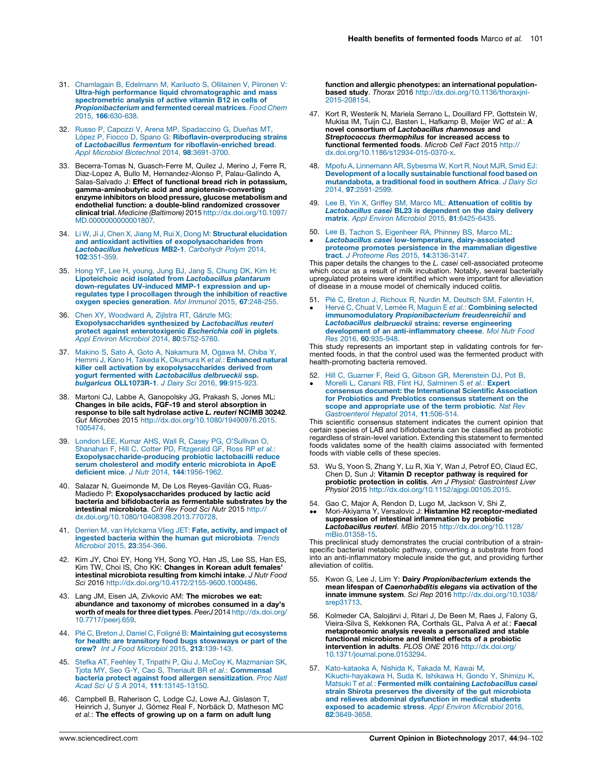- <span id="page-7-0"></span>31. [Chamlagain](http://refhub.elsevier.com/S0958-1669(16)30266-X/sbref0480) B, Edelmann M, Kariluoto S, Ollilainen V, Piironen V: Ultra-high performance liquid [chromatographic](http://refhub.elsevier.com/S0958-1669(16)30266-X/sbref0480) and mass [spectrometric](http://refhub.elsevier.com/S0958-1669(16)30266-X/sbref0480) analysis of active vitamin B12 in cells of [Propionibacterium](http://refhub.elsevier.com/S0958-1669(16)30266-X/sbref0480) and fermented cereal matrices. Food Chem 2015, 166[:630-638.](http://refhub.elsevier.com/S0958-1669(16)30266-X/sbref0480)
- 32. Russo P, Capozzi V, Arena MP, [Spadaccino](http://refhub.elsevier.com/S0958-1669(16)30266-X/sbref0485) G, Dueñas MT,<br>López P, Fiocco D, Spano G: **[Riboflavin-overproducing](http://refhub.elsevier.com/S0958-1669(16)30266-X/sbref0485) strains** of Lactobacillus fermentum for [riboflavin-enriched](http://refhub.elsevier.com/S0958-1669(16)30266-X/sbref0485) bread. Appl Microbiol Biotechnol 2014, 98[:3691-3700.](http://refhub.elsevier.com/S0958-1669(16)30266-X/sbref0485)
- 33. Becerra-Tomas N, Guasch-Ferre M, Quilez J, Merino J, Ferre R, Diaz-Lopez A, Bullo M, Hernandez-Alonso P, Palau-Galindo A, Salas-Salvado J: Effect of functional bread rich in potassium, gamma-aminobutyric acid and angiotensin-converting enzyme inhibitors on blood pressure, glucose metabolism and endothelial function: a double-blind randomized crossover clinical trial. Medicine (Baltimore) 2015 [http://dx.doi.org/10.1097/](http://dx.doi.org/10.1097/MD.0000000000001807) [MD.0000000000001807](http://dx.doi.org/10.1097/MD.0000000000001807).
- 34. Li W, Ji J, Chen X, Jiang M, Rui X, Dong M: Structural [elucidation](http://refhub.elsevier.com/S0958-1669(16)30266-X/sbref0495) and antioxidant activities of [exopolysaccharides](http://refhub.elsevier.com/S0958-1669(16)30266-X/sbref0495) from [Lactobacillus](http://refhub.elsevier.com/S0958-1669(16)30266-X/sbref0495) helveticus MB2-1. Carbohydr Polym 2014, 102[:351-359.](http://refhub.elsevier.com/S0958-1669(16)30266-X/sbref0495)
- 35. Hong YF, Lee H, [young,](http://refhub.elsevier.com/S0958-1669(16)30266-X/sbref0500) Jung BJ, Jang S, Chung DK, Kim H: Lipoteichoic acid isolated from [Lactobacillus](http://refhub.elsevier.com/S0958-1669(16)30266-X/sbref0500) plantarum [down-regulates](http://refhub.elsevier.com/S0958-1669(16)30266-X/sbref0500) UV-induced MMP-1 expression and upregulates type I [procollagen](http://refhub.elsevier.com/S0958-1669(16)30266-X/sbref0500) through the inhibition of reactive oxygen species [generation](http://refhub.elsevier.com/S0958-1669(16)30266-X/sbref0500). Mol Immunol 2015, 67:248-255.
- 36. Chen XY, [Woodward](http://refhub.elsevier.com/S0958-1669(16)30266-X/sbref0505) A, Zijlstra RT, Gänzle MG: [Exopolysaccharides](http://refhub.elsevier.com/S0958-1669(16)30266-X/sbref0505) synthesized by Lactobacillus reuteri protect against [enterotoxigenic](http://refhub.elsevier.com/S0958-1669(16)30266-X/sbref0505) Escherichia coli in piglets. Appl Environ Microbiol 2014, 80[:5752-5760.](http://refhub.elsevier.com/S0958-1669(16)30266-X/sbref0505)
- 37. Makino S, Sato A, Goto A, [Nakamura](http://refhub.elsevier.com/S0958-1669(16)30266-X/sbref0510) M, Ogawa M, Chiba Y,<br>Hemmi J, Kano H, Takeda K, Okumura K et al.: **[Enhanced](http://refhub.elsevier.com/S0958-1669(16)30266-X/sbref0510) natural** killer cell activation by [exopolysaccharides](http://refhub.elsevier.com/S0958-1669(16)30266-X/sbref0510) derived from yogurt fermented with [Lactobacillus](http://refhub.elsevier.com/S0958-1669(16)30266-X/sbref0510) delbrueckii ssp. bulgaricus [OLL1073R-1](http://refhub.elsevier.com/S0958-1669(16)30266-X/sbref0510). J Dairy Sci 2016, 99:915-923.
- 38. Martoni CJ, Labbe A, Ganopolsky JG, Prakash S, Jones ML: Changes in bile acids, FGF-19 and sterol absorption in response to bile salt hydrolase active L. reuteri NCIMB 30242. Gut Microbes 2015 [http://dx.doi.org/10.1080/19490976.2015.](http://dx.doi.org/10.1080/19490976.2015.1005474) [1005474](http://dx.doi.org/10.1080/19490976.2015.1005474).
- 39. London LEE, Kumar AHS, Wall R, Casey PG, [O'Sullivan](http://refhub.elsevier.com/S0958-1669(16)30266-X/sbref0520) O, [Shanahan](http://refhub.elsevier.com/S0958-1669(16)30266-X/sbref0520) F, Hill C, Cotter PD, Fitzgerald GF, Ross RP et al.: [Exopolysaccharide-producing](http://refhub.elsevier.com/S0958-1669(16)30266-X/sbref0520) probiotic lactobacilli reduce serum [cholesterol](http://refhub.elsevier.com/S0958-1669(16)30266-X/sbref0520) and modify enteric microbiota in ApoE deficient mice. J Nutr 2014, 144[:1956-1962.](http://refhub.elsevier.com/S0958-1669(16)30266-X/sbref0520)
- 40. Salazar N, Gueimonde M, De Los Reyes-Gavilán CG, Ruas-Madiedo P: Exopolysaccharides produced by lactic acid bacteria and bifidobacteria as fermentable substrates by the intestinal microbiota. Crit Rev Food Sci Nutr 2015 [http://](http://dx.doi.org/10.1080/10408398.2013.770728) [dx.doi.org/10.1080/10408398.2013.770728.](http://dx.doi.org/10.1080/10408398.2013.770728)
- 41. Derrien M, van [Hylckama](http://refhub.elsevier.com/S0958-1669(16)30266-X/sbref0530) Vlieg JET: Fate, activity, and impact of ingested bacteria within the human gut [microbiota](http://refhub.elsevier.com/S0958-1669(16)30266-X/sbref0530). Trends Microbiol 2015, 23[:354-366.](http://refhub.elsevier.com/S0958-1669(16)30266-X/sbref0530)
- 42. Kim JY, Choi EY, Hong YH, Song YO, Han JS, Lee SS, Han ES, Kim TW, Choi IS, Cho KK: Changes in Korean adult females' intestinal microbiota resulting from kimchi intake. J Nutr Food Sci 2016 <http://dx.doi.org/10.4172/2155-9600.1000486>.
- 43. Lang JM, Eisen JA, Zivkovic AM: The microbes we eat: abundance and taxonomy of microbes consumed in a day's worth of meals for three diet types. PeerJ 2014 [http://dx.doi.org/](http://dx.doi.org/10.7717/peerj.659) [10.7717/peerj.659.](http://dx.doi.org/10.7717/peerj.659)
- 44. Plé C, Breton J, Daniel C, Foligné B: Maintaining gut [ecosystems](http://refhub.elsevier.com/S0958-1669(16)30266-X/sbref0545) for health: are transitory food bugs [stowaways](http://refhub.elsevier.com/S0958-1669(16)30266-X/sbref0545) or part of the crew? Int J Food Microbiol 2015, 213[:139-143.](http://refhub.elsevier.com/S0958-1669(16)30266-X/sbref0545)
- 45. Stefka AT, Feehley T, Tripathi P, Qiu J, McCoy K, [Mazmanian](http://refhub.elsevier.com/S0958-1669(16)30266-X/sbref0550) SK,<br>Tjota MY, Seo G-Y, Cao S, Theriault BR *et al.*: **[Commensal](http://refhub.elsevier.com/S0958-1669(16)30266-X/sbref0550)**<br>**bacteria protect against food allergen [sensitization](http://refhub.elsevier.com/S0958-1669(16)30266-X/sbref0550)**. *Proc Natl* Acad Sci U S A 2014, 111[:13145-13150.](http://refhub.elsevier.com/S0958-1669(16)30266-X/sbref0550)
- 46. Campbell B, Raherison C, Lodge CJ, Lowe AJ, Gislason T, Heinrich J, Sunyer J, Gómez Real F, Norbäck D, Matheson MC et al.: The effects of growing up on a farm on adult lung

function and allergic phenotypes: an international populationbased study. Thorax 2016 [http://dx.doi.org/10.1136/thoraxjnl-](http://dx.doi.org/10.1136/thoraxjnl-2015-208154)[2015-208154.](http://dx.doi.org/10.1136/thoraxjnl-2015-208154)

- 47. Kort R, Westerik N, Mariela Serrano L, Douillard FP, Gottstein W,<br>Mukisa IM, Tuijn CJ, Basten L, Hafkamp B, Meijer WC e*t al.*: **A** novel consortium of Lactobacillus rhamnosus and Streptococcus thermophilus for increased access to functional fermented foods. Microb Cell Fact 2015 [http://](http://dx.doi.org/10.1186/s12934-015-0370-x) [dx.doi.org/10.1186/s12934-015-0370-x](http://dx.doi.org/10.1186/s12934-015-0370-x).
- 48. Mpofu A, [Linnemann](http://refhub.elsevier.com/S0958-1669(16)30266-X/sbref0565) AR, Sybesma W, Kort R, Nout MJR, Smid EJ: [Development](http://refhub.elsevier.com/S0958-1669(16)30266-X/sbref0565) of a locally sustainable functional food based on [mutandabota,](http://refhub.elsevier.com/S0958-1669(16)30266-X/sbref0565) a traditional food in southern Africa. J Dairy Sci 2014, 97[:2591-2599.](http://refhub.elsevier.com/S0958-1669(16)30266-X/sbref0565)
- 49. Lee B, Yin X, Griffey SM, Marco ML: [Attenuation](http://refhub.elsevier.com/S0958-1669(16)30266-X/sbref0570) of colitis by [Lactobacillus](http://refhub.elsevier.com/S0958-1669(16)30266-X/sbref0570) casei BL23 is dependent on the dairy delivery matrix. Appl Environ Microbiol 2015, 81[:6425-6435.](http://refhub.elsevier.com/S0958-1669(16)30266-X/sbref0570)
- 50. Lee B, Tachon S, [Eigenheer](http://refhub.elsevier.com/S0958-1669(16)30266-X/sbref0575) RA, Phinney BS, Marco ML:
- -Lactobacillus casei [low-temperature,](http://refhub.elsevier.com/S0958-1669(16)30266-X/sbref0575) dairy-associated proteome promotes [persistence](http://refhub.elsevier.com/S0958-1669(16)30266-X/sbref0575) in the mammalian digestive tract. J Proteome Res 2015, 14[:3136-3147.](http://refhub.elsevier.com/S0958-1669(16)30266-X/sbref0575)

This paper details the changes to the L. casei cell-associated proteome which occur as a result of milk incubation. Notably, several bacterially upregulated proteins were identified which were important for alleviation of disease in a mouse model of chemically induced colitis.

- 51. Plé C, Breton J, Richoux R, Nurdin M, [Deutsch](http://refhub.elsevier.com/S0958-1669(16)30266-X/sbref0580) SM, Falentin H,
- -Hervé C, Chuat V, Lemée R, Maguin E et al.: [Combining](http://refhub.elsevier.com/S0958-1669(16)30266-X/sbref0580) selected [immunomodulatory](http://refhub.elsevier.com/S0958-1669(16)30266-X/sbref0580) Propionibacterium freudenreichii and [Lactobacillus](http://refhub.elsevier.com/S0958-1669(16)30266-X/sbref0580) delbrueckii strains: reverse engineering development of an [anti-inflammatory](http://refhub.elsevier.com/S0958-1669(16)30266-X/sbref0580) cheese. Mol Nutr Food Res 2016, 60[:935-948.](http://refhub.elsevier.com/S0958-1669(16)30266-X/sbref0580)

This study represents an important step in validating controls for fermented foods, in that the control used was the fermented product with health-promoting bacteria removed.

52. -Hill C, Guarner F, Reid G, Gibson GR, [Merenstein](http://refhub.elsevier.com/S0958-1669(16)30266-X/sbref0585) DJ, Pot B, Morelli L, Canani RB, Flint HJ, [Salminen](http://refhub.elsevier.com/S0958-1669(16)30266-X/sbref0585) S et al.: Expert consensus document: the [International](http://refhub.elsevier.com/S0958-1669(16)30266-X/sbref0585) Scientific Association for Probiotics and Prebiotics [consensus](http://refhub.elsevier.com/S0958-1669(16)30266-X/sbref0585) statement on the scope and [appropriate](http://refhub.elsevier.com/S0958-1669(16)30266-X/sbref0585) use of the term probiotic. Nat Rev [Gastroenterol](http://refhub.elsevier.com/S0958-1669(16)30266-X/sbref0585) Hepatol 2014, 11:506-514.

This scientific consensus statement indicates the current opinion that certain species of LAB and bifidobacteria can be classified as probiotic regardless of strain-level variation. Extending this statement to fermented foods validates some of the health claims associated with fermented foods with viable cells of these species.

- 53. Wu S, Yoon S, Zhang Y, Lu R, Xia Y, Wan J, Petrof EO, Claud EC, Chen D, Sun J: Vitamin D receptor pathway is required for probiotic probection in colitis. Am J Physiol: Gastrointest Liver Physiol: 2015 http://dx.doi.or
- 54. Gao C, Major A, Rendon D, Lugo M, Jackson V, Shi Z,
- --Mori-Akiyama Y, Versalovic J: Histamine H2 receptor-mediated suppression of intestinal inflammation by probiotic Lactobacillus reuteri. MBio 2015 [http://dx.doi.org/10.1128/](http://dx.doi.org/10.1128/mBio.01358-15) [mBio.01358-15.](http://dx.doi.org/10.1128/mBio.01358-15)

This preclinical study demonstrates the crucial contribution of a strainspecific bacterial metabolic pathway, converting a substrate from food into an anti-inflammatory molecule inside the gut, and providing further alleviation of colitis.

- 55. Kwon G, Lee J, Lim Y: Dairy Propionibacterium extends the mean lifespan of Caenorhabditis elegans via activation of the innate immune system. Sci Rep 2016 [http://dx.doi.org/10.1038/](http://dx.doi.org/10.1038/srep31713) [srep31713.](http://dx.doi.org/10.1038/srep31713)
- 56. Kolmeder CA, Salojärvi J, Ritari J, De Been M, Raes J, Falony G, Vieira-Silva S, Kekkonen RA, Corthals GL, Palva A et al.: Faecal metaproteomic analysis reveals a personalized and stable functional microbiome and limited effects of a probiotic intervention in adults. PLOS ONE 2016 [http://dx.doi.org/](http://dx.doi.org/10.1371/journal.pone.0153294) [10.1371/journal.pone.0153294](http://dx.doi.org/10.1371/journal.pone.0153294).
- 57. [Kato-kataoka](http://refhub.elsevier.com/S0958-1669(16)30266-X/sbref0610) A, Nishida K, Takada M, Kawai M, [Kikuchi-hayakawa](http://refhub.elsevier.com/S0958-1669(16)30266-X/sbref0610) H, Suda K, Ishikawa H, Gondo Y, Shimizu K, Matsuki T et al.: Fermented milk containing [Lactobacillus](http://refhub.elsevier.com/S0958-1669(16)30266-X/sbref0610) casei strain Shirota preserves the diversity of the gut [microbiota](http://refhub.elsevier.com/S0958-1669(16)30266-X/sbref0610) and relieves abdominal [dysfunction](http://refhub.elsevier.com/S0958-1669(16)30266-X/sbref0610) in medical students exposed to [academic](http://refhub.elsevier.com/S0958-1669(16)30266-X/sbref0610) stress. Appl Environ Microbiol 2016, 82[:3649-3658.](http://refhub.elsevier.com/S0958-1669(16)30266-X/sbref0610)